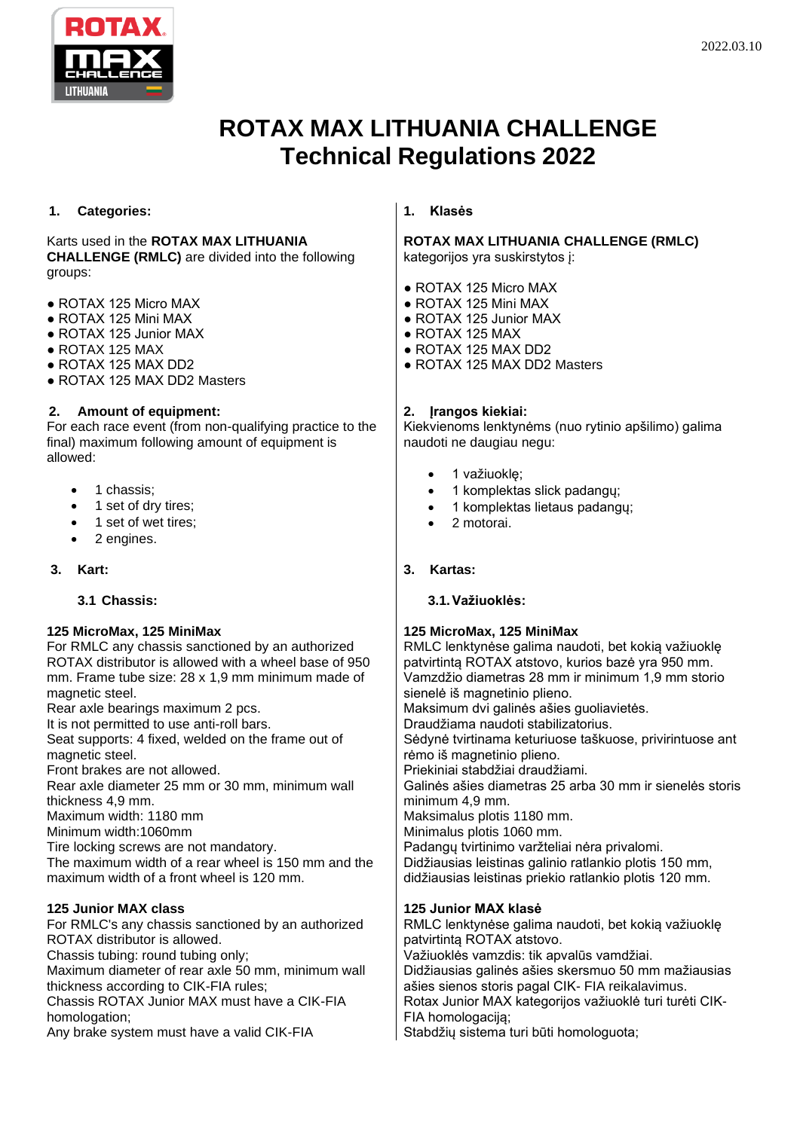

# **ROTAX MAX LITHUANIA CHALLENGE Technical Regulations 2022**

## **1. Categories:**

## Karts used in the **ROTAX MAX LITHUANIA**

**CHALLENGE (RMLC)** are divided into the following groups:

- ROTAX 125 Micro MAX
- ROTAX 125 Mini MAX
- ROTAX 125 Junior MAX
- $\bullet$  ROTAX 125 MAX
- ROTAX 125 MAX DD2
- ROTAX 125 MAX DD2 Masters

# **2. Amount of equipment:**

For each race event (from non-qualifying practice to the final) maximum following amount of equipment is allowed:

- 1 chassis;
- 1 set of drv tires;
- 1 set of wet tires;
- 2 engines.

# **3. Kart:**

# **3.1 Chassis:**

# **125 MicroMax, 125 MiniMax**

For RMLC any chassis sanctioned by an authorized ROTAX distributor is allowed with a wheel base of 950 mm. Frame tube size: 28 x 1,9 mm minimum made of magnetic steel.

Rear axle bearings maximum 2 pcs.

It is not permitted to use anti-roll bars.

Seat supports: 4 fixed, welded on the frame out of magnetic steel.

Front brakes are not allowed.

Rear axle diameter 25 mm or 30 mm, minimum wall thickness 4,9 mm.

Maximum width: 1180 mm

Minimum width:1060mm

Tire locking screws are not mandatory.

The maximum width of a rear wheel is 150 mm and the maximum width of a front wheel is 120 mm.

# **125 Junior MAX class**

For RMLC's any chassis sanctioned by an authorized ROTAX distributor is allowed. Chassis tubing: round tubing only; Maximum diameter of rear axle 50 mm, minimum wall

thickness according to CIK-FIA rules;

Chassis ROTAX Junior MAX must have a CIK-FIA homologation;

Any brake system must have a valid CIK-FIA

## **1. Klasės**

#### **ROTAX MAX LITHUANIA CHALLENGE (RMLC)**  kategorijos yra suskirstytos į:

- ROTAX 125 Micro MAX
- ROTAX 125 Mini MAX
- ROTAX 125 Junior MAX
- $\bullet$  ROTAX 125 MAX
- ROTAX 125 MAX DD2
- ROTAX 125 MAX DD2 Masters

## **2. Įrangos kiekiai:**

Kiekvienoms lenktynėms (nuo rytinio apšilimo) galima naudoti ne daugiau negu:

- 1 važiuoklę;
- 1 komplektas slick padangų;
- 1 komplektas lietaus padangų;
- 2 motorai.

# **3. Kartas:**

# **3.1.Važiuoklės:**

# **125 MicroMax, 125 MiniMax**

RMLC lenktynėse galima naudoti, bet kokią važiuoklę patvirtintą ROTAX atstovo, kurios bazė yra 950 mm. Vamzdžio diametras 28 mm ir minimum 1,9 mm storio sienelė iš magnetinio plieno. Maksimum dvi galinės ašies guoliavietės. Draudžiama naudoti stabilizatorius. Sėdynė tvirtinama keturiuose taškuose, privirintuose ant rėmo iš magnetinio plieno.

Priekiniai stabdžiai draudžiami.

Galinės ašies diametras 25 arba 30 mm ir sienelės storis minimum 4,9 mm.

Maksimalus plotis 1180 mm.

Minimalus plotis 1060 mm.

Padangų tvirtinimo varžteliai nėra privalomi.

Didžiausias leistinas galinio ratlankio plotis 150 mm, didžiausias leistinas priekio ratlankio plotis 120 mm.

# **125 Junior MAX klasė**

RMLC lenktynėse galima naudoti, bet kokią važiuoklę patvirtintą ROTAX atstovo. Važiuoklės vamzdis: tik apvalūs vamdžiai. Didžiausias galinės ašies skersmuo 50 mm mažiausias ašies sienos storis pagal CIK- FIA reikalavimus. Rotax Junior MAX kategorijos važiuoklė turi turėti CIK-FIA homologaciją;

Stabdžių sistema turi būti homologuota;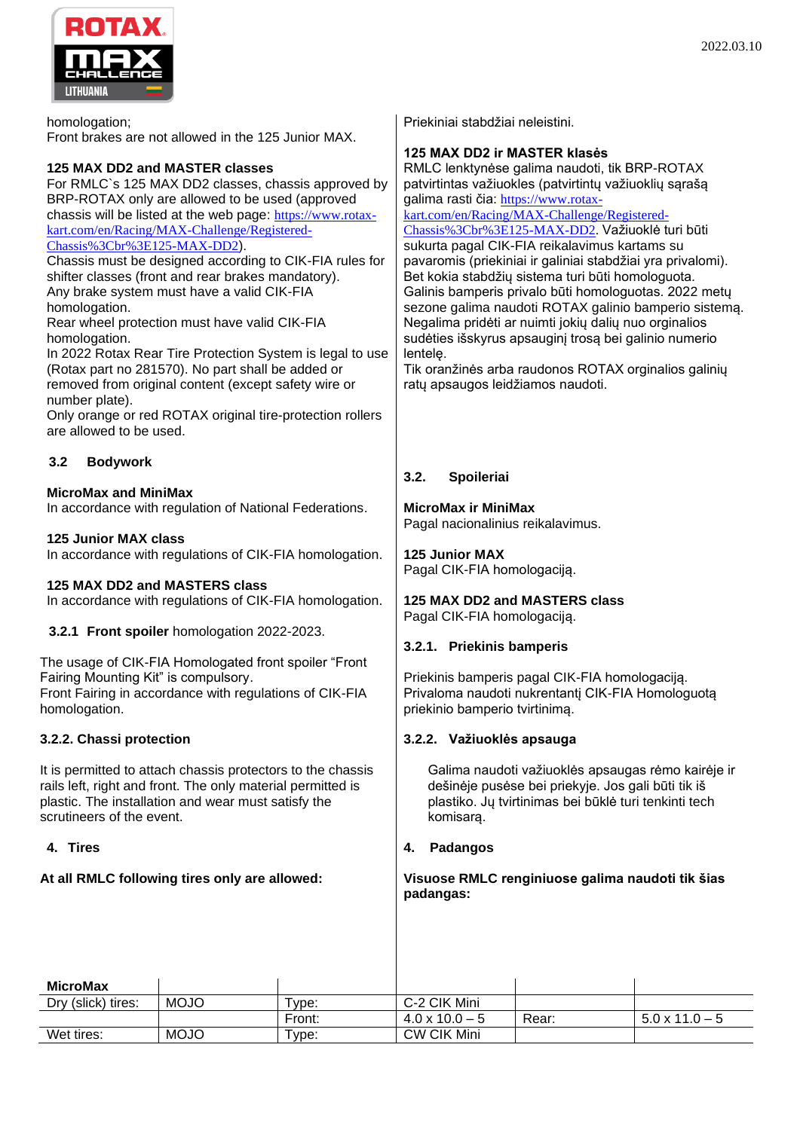

homologation; Front brakes are not allowed in the 125 Junior MAX.

## **125 MAX DD2 and MASTER classes**

For RMLC`s 125 MAX DD2 classes, chassis approved by BRP-ROTAX only are allowed to be used (approved chassis will be listed at the web page: [https://www.rotax](https://www.rotax-kart.com/en/Racing/MAX-Challenge/Registered-Chassis%3Cbr%3E125-MAX-DD2)[kart.com/en/Racing/MAX-Challenge/Registered-](https://www.rotax-kart.com/en/Racing/MAX-Challenge/Registered-Chassis%3Cbr%3E125-MAX-DD2)[Chassis%3Cbr%3E125-MAX-DD2](https://www.rotax-kart.com/en/Racing/MAX-Challenge/Registered-Chassis%3Cbr%3E125-MAX-DD2)).

Chassis must be designed according to CIK-FIA rules for shifter classes (front and rear brakes mandatory). Any brake system must have a valid CIK-FIA homologation.

Rear wheel protection must have valid CIK-FIA homologation.

In 2022 Rotax Rear Tire Protection System is legal to use (Rotax part no 281570). No part shall be added or removed from original content (except safety wire or number plate).

Only orange or red ROTAX original tire-protection rollers are allowed to be used.

# **3.2 Bodywork**

## **MicroMax and MiniMax**

In accordance with regulation of National Federations.

## **125 Junior MAX class**

In accordance with regulations of CIK-FIA homologation.

## **125 MAX DD2 and MASTERS class**

In accordance with regulations of CIK-FIA homologation.

## **3.2.1 Front spoiler** homologation 2022-2023.

The usage of CIK-FIA Homologated front spoiler "Front Fairing Mounting Kit" is compulsory. Front Fairing in accordance with regulations of CIK-FIA homologation.

## **3.2.2. Chassi protection**

It is permitted to attach chassis protectors to the chassis rails left, right and front. The only material permitted is plastic. The installation and wear must satisfy the scrutineers of the event.

## **4. Tires**

# **At all RMLC following tires only are allowed:**

Priekiniai stabdžiai neleistini.

## **125 MAX DD2 ir MASTER klasės**

RMLC lenktynėse galima naudoti, tik BRP-ROTAX patvirtintas važiuokles (patvirtintų važiuoklių sąrašą galima rasti čia: [https://www.rotax-](https://www.rotax-kart.com/en/Racing/MAX-Challenge/Registered-Chassis%3Cbr%3E125-MAX-DD2)

[kart.com/en/Racing/MAX-Challenge/Registered-](https://www.rotax-kart.com/en/Racing/MAX-Challenge/Registered-Chassis%3Cbr%3E125-MAX-DD2)[Chassis%3Cbr%3E125-MAX-DD2.](https://www.rotax-kart.com/en/Racing/MAX-Challenge/Registered-Chassis%3Cbr%3E125-MAX-DD2) Važiuoklė turi būti sukurta pagal CIK-FIA reikalavimus kartams su pavaromis (priekiniai ir galiniai stabdžiai yra privalomi).

Bet kokia stabdžių sistema turi būti homologuota. Galinis bamperis privalo būti homologuotas. 2022 metų sezone galima naudoti ROTAX galinio bamperio sistemą. Negalima pridėti ar nuimti jokių dalių nuo orginalios sudėties išskyrus apsauginį trosą bei galinio numerio lentelę.

Tik oranžinės arba raudonos ROTAX orginalios galinių ratų apsaugos leidžiamos naudoti.

# **3.2. Spoileriai**

## **MicroMax ir MiniMax**

Pagal nacionalinius reikalavimus.

**125 Junior MAX** Pagal CIK-FIA homologaciją.

#### **125 MAX DD2 and MASTERS class** Pagal CIK-FIA homologaciją.

## **3.2.1. Priekinis bamperis**

Priekinis bamperis pagal CIK-FIA homologaciją. Privaloma naudoti nukrentantį CIK-FIA Homologuotą priekinio bamperio tvirtinimą.

## **3.2.2. Važiuoklės apsauga**

Galima naudoti važiuoklės apsaugas rėmo kairėje ir dešinėje pusėse bei priekyje. Jos gali būti tik iš plastiko. Jų tvirtinimas bei būklė turi tenkinti tech komisarą.

## **4. Padangos**

#### **Visuose RMLC renginiuose galima naudoti tik šias padangas:**

| <b>MicroMax</b>    |             |                       |                       |       |                       |
|--------------------|-------------|-----------------------|-----------------------|-------|-----------------------|
| Dry (slick) tires: | <b>MOJO</b> | Type:                 | C-2 CIK Mini          |       |                       |
|                    |             | Front:                | $4.0 \times 10.0 - 5$ | Rear: | $5.0 \times 11.0 - 5$ |
| Wet tires:         | <b>MOJO</b> | $^{\sf \tiny T}$ vpe: | <b>CW CIK Mini</b>    |       |                       |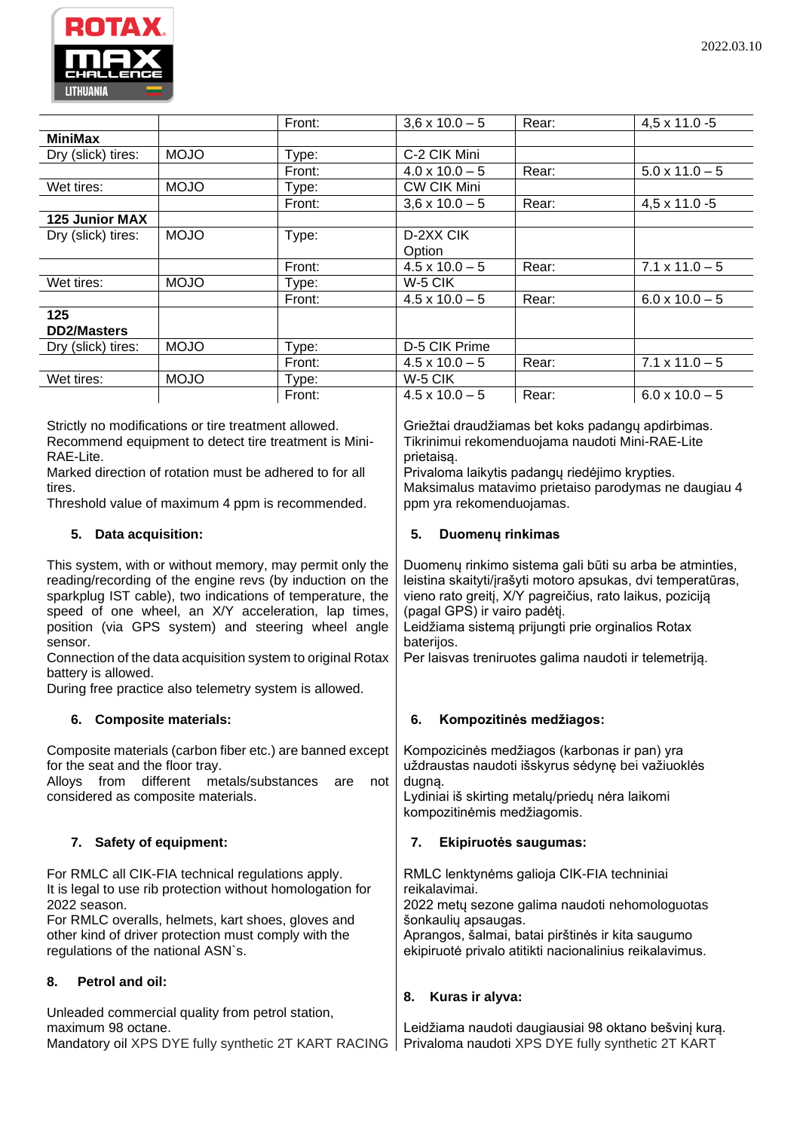

|                       |             | Front: | $3,6 \times 10.0 - 5$ | Rear: | $4,5 \times 11.0 - 5$ |
|-----------------------|-------------|--------|-----------------------|-------|-----------------------|
| <b>MiniMax</b>        |             |        |                       |       |                       |
| Dry (slick) tires:    | <b>MOJO</b> | Type:  | C-2 CIK Mini          |       |                       |
|                       |             | Front: | $4.0 \times 10.0 - 5$ | Rear: | $5.0 \times 11.0 - 5$ |
| Wet tires:            | <b>MOJO</b> | Type:  | <b>CW CIK Mini</b>    |       |                       |
|                       |             | Front: | $3,6 \times 10.0 - 5$ | Rear: | $4,5 \times 11.0 - 5$ |
| <b>125 Junior MAX</b> |             |        |                       |       |                       |
| Dry (slick) tires:    | <b>MOJO</b> | Type:  | D-2XX CIK             |       |                       |
|                       |             |        | Option                |       |                       |
|                       |             | Front: | $4.5 \times 10.0 - 5$ | Rear: | $7.1 \times 11.0 - 5$ |
| Wet tires:            | <b>MOJO</b> | Type:  | W-5 CIK               |       |                       |
|                       |             | Front: | $4.5 \times 10.0 - 5$ | Rear: | $6.0 \times 10.0 - 5$ |
| 125                   |             |        |                       |       |                       |
| <b>DD2/Masters</b>    |             |        |                       |       |                       |
| Dry (slick) tires:    | <b>MOJO</b> | Type:  | D-5 CIK Prime         |       |                       |
|                       |             | Front: | $4.5 \times 10.0 - 5$ | Rear: | $7.1 \times 11.0 - 5$ |
| Wet tires:            | <b>MOJO</b> | Type:  | W-5 CIK               |       |                       |
|                       |             | Front: | $4.5 \times 10.0 - 5$ | Rear: | $6.0 \times 10.0 - 5$ |

Strictly no modifications or tire treatment allowed. Recommend equipment to detect tire treatment is Mini-RAE-Lite.

Marked direction of rotation must be adhered to for all tires.

Threshold value of maximum 4 ppm is recommended.

# **5. Data acquisition:**

This system, with or without memory, may permit only the reading/recording of the engine revs (by induction on the sparkplug IST cable), two indications of temperature, the speed of one wheel, an X/Y acceleration, lap times, position (via GPS system) and steering wheel angle sensor.

Connection of the data acquisition system to original Rotax battery is allowed.

During free practice also telemetry system is allowed.

# **6. Composite materials:**

Composite materials (carbon fiber etc.) are banned except for the seat and the floor tray.

Alloys from different metals/substances are not considered as composite materials.

# **7. Safety of equipment:**

For RMLC all CIK-FIA technical regulations apply. It is legal to use rib protection without homologation for 2022 season.

For RMLC overalls, helmets, kart shoes, gloves and other kind of driver protection must comply with the regulations of the national ASN`s.

# **8. Petrol and oil:**

Unleaded commercial quality from petrol station, maximum 98 octane.

Mandatory oil XPS DYE fully synthetic 2T KART RACING

Griežtai draudžiamas bet koks padangų apdirbimas. Tikrinimui rekomenduojama naudoti Mini-RAE-Lite prietaisą.

Privaloma laikytis padangų riedėjimo krypties. Maksimalus matavimo prietaiso parodymas ne daugiau 4 ppm yra rekomenduojamas.

# **5. Duomenų rinkimas**

Duomenų rinkimo sistema gali būti su arba be atminties, leistina skaityti/įrašyti motoro apsukas, dvi temperatūras, vieno rato greitį, X/Y pagreičius, rato laikus, poziciją (pagal GPS) ir vairo padėtį. Leidžiama sistemą prijungti prie orginalios Rotax baterijos. Per laisvas treniruotes galima naudoti ir telemetriją.

# **6. Kompozitinės medžiagos:**

Kompozicinės medžiagos (karbonas ir pan) yra uždraustas naudoti išskyrus sėdynę bei važiuoklės dugną. Lydiniai iš skirting metalų/priedų nėra laikomi kompozitinėmis medžiagomis. **7. Ekipiruotės saugumas:**

RMLC lenktynėms galioja CIK-FIA techniniai reikalavimai. 2022 metų sezone galima naudoti nehomologuotas šonkaulių apsaugas. Aprangos, šalmai, batai pirštinės ir kita saugumo ekipiruotė privalo atitikti nacionalinius reikalavimus.

# **8. Kuras ir alyva:**

Leidžiama naudoti daugiausiai 98 oktano bešvinį kurą. Privaloma naudoti XPS DYE fully synthetic 2T KART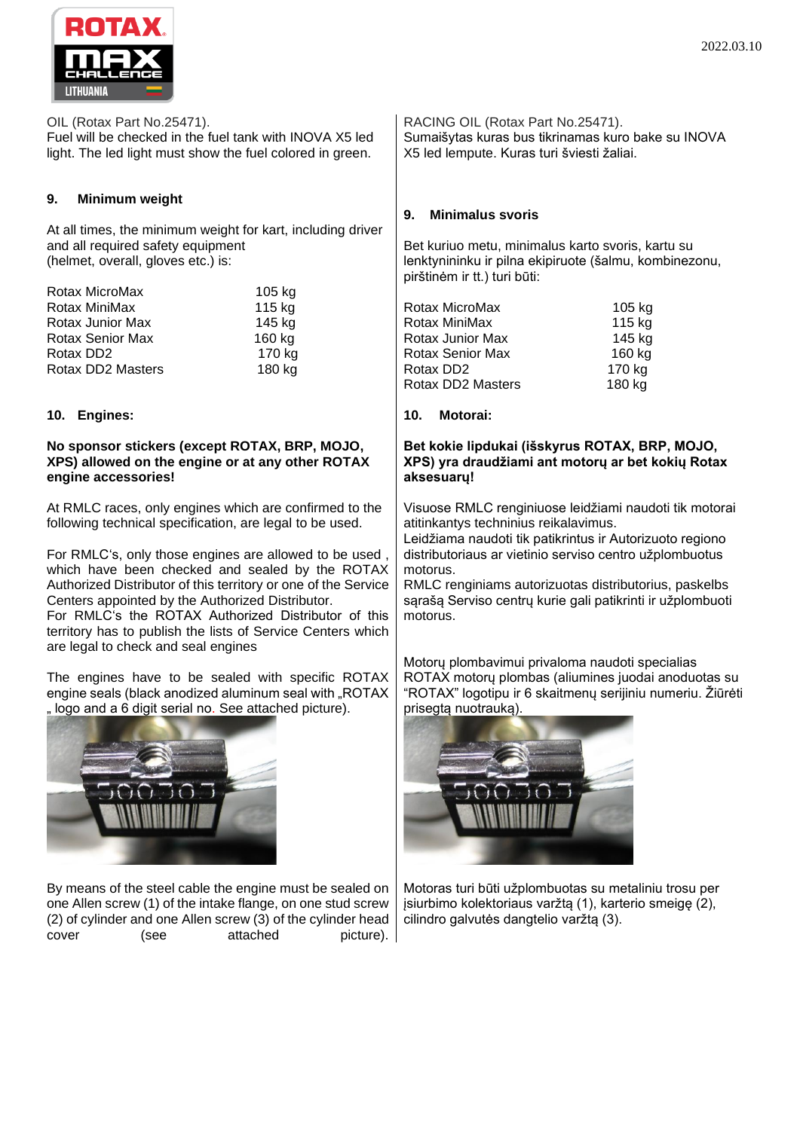



OIL (Rotax Part No.25471).

Fuel will be checked in the fuel tank with INOVA X5 led light. The led light must show the fuel colored in green.

## **9. Minimum weight**

At all times, the minimum weight for kart, including driver and all required safety equipment (helmet, overall, gloves etc.) is:

| Rotax MicroMax          | 105 kg |
|-------------------------|--------|
| Rotax MiniMax           | 115 kg |
| Rotax Junior Max        | 145 kg |
| <b>Rotax Senior Max</b> | 160 kg |
| Rotax DD <sub>2</sub>   | 170 kg |
| Rotax DD2 Masters       | 180 kg |

## **10. Engines:**

#### **No sponsor stickers (except ROTAX, BRP, MOJO, XPS) allowed on the engine or at any other ROTAX engine accessories!**

At RMLC races, only engines which are confirmed to the following technical specification, are legal to be used.

For RMLC's, only those engines are allowed to be used , which have been checked and sealed by the ROTAX Authorized Distributor of this territory or one of the Service Centers appointed by the Authorized Distributor.

For RMLC's the ROTAX Authorized Distributor of this territory has to publish the lists of Service Centers which are legal to check and seal engines

The engines have to be sealed with specific ROTAX engine seals (black anodized aluminum seal with "ROTAX " logo and a 6 digit serial no. See attached picture).



By means of the steel cable the engine must be sealed on one Allen screw (1) of the intake flange, on one stud screw (2) of cylinder and one Allen screw (3) of the cylinder head cover (see attached picture).

RACING OIL (Rotax Part No.25471). Sumaišytas kuras bus tikrinamas kuro bake su INOVA X5 led lempute. Kuras turi šviesti žaliai.

#### **9. Minimalus svoris**

Bet kuriuo metu, minimalus karto svoris, kartu su lenktynininku ir pilna ekipiruote (šalmu, kombinezonu, pirštinėm ir tt.) turi būti:

| Rotax MicroMax          | 105 kg |
|-------------------------|--------|
| Rotax MiniMax           | 115 kg |
| Rotax Junior Max        | 145 kg |
| <b>Rotax Senior Max</b> | 160 kg |
| Rotax DD <sub>2</sub>   | 170 kg |
| Rotax DD2 Masters       | 180 kg |
|                         |        |

## **10. Motorai:**

#### **Bet kokie lipdukai (išskyrus ROTAX, BRP, MOJO, XPS) yra draudžiami ant motorų ar bet kokių Rotax aksesuarų!**

Visuose RMLC renginiuose leidžiami naudoti tik motorai atitinkantys techninius reikalavimus.

Leidžiama naudoti tik patikrintus ir Autorizuoto regiono distributoriaus ar vietinio serviso centro užplombuotus motorus.

RMLC renginiams autorizuotas distributorius, paskelbs sąrašą Serviso centrų kurie gali patikrinti ir užplombuoti motorus.

Motorų plombavimui privaloma naudoti specialias ROTAX motorų plombas (aliumines juodai anoduotas su "ROTAX" logotipu ir 6 skaitmenų serijiniu numeriu. Žiūrėti prisegtą nuotrauką).



Motoras turi būti užplombuotas su metaliniu trosu per įsiurbimo kolektoriaus varžtą (1), karterio smeigę (2), cilindro galvutės dangtelio varžtą (3).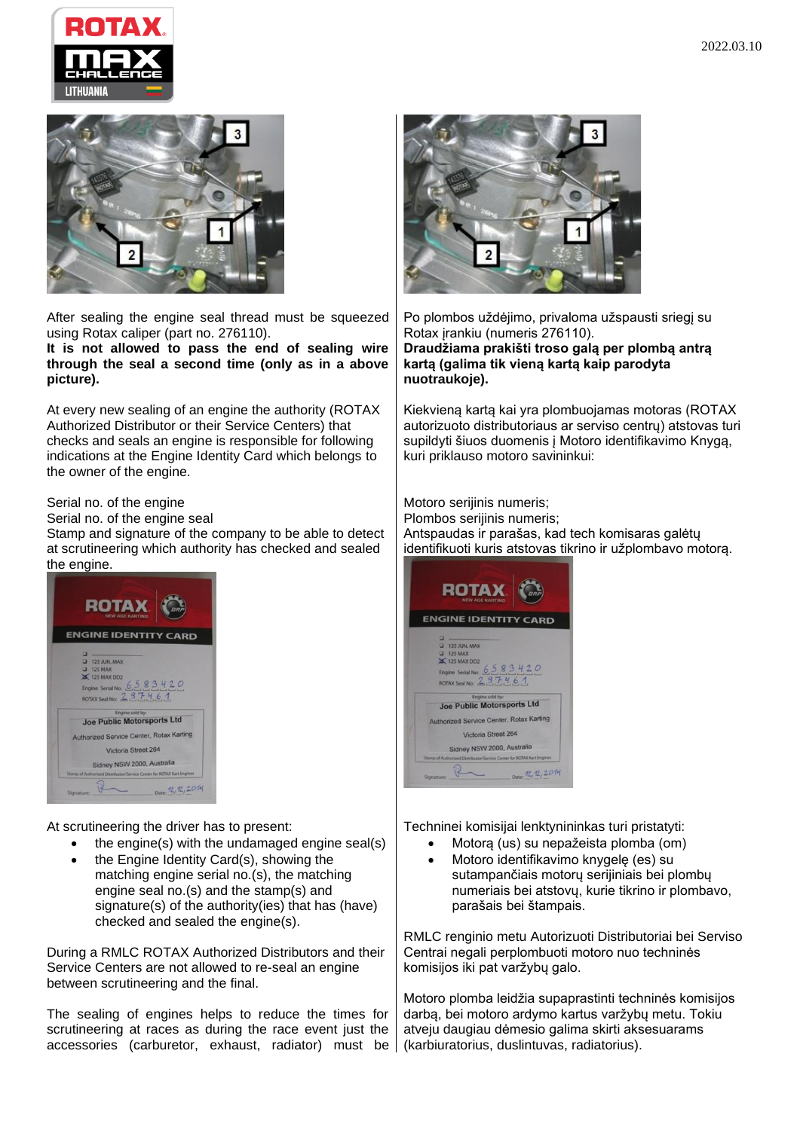





After sealing the engine seal thread must be squeezed using Rotax caliper (part no. 276110).

**It is not allowed to pass the end of sealing wire through the seal a second time (only as in a above picture).**

At every new sealing of an engine the authority (ROTAX Authorized Distributor or their Service Centers) that checks and seals an engine is responsible for following indications at the Engine Identity Card which belongs to the owner of the engine.

Serial no. of the engine

Serial no. of the engine seal

Stamp and signature of the company to be able to detect at scrutineering which authority has checked and sealed the engine.



At scrutineering the driver has to present:

- the engine(s) with the undamaged engine seal(s)
- the Engine Identity Card(s), showing the matching engine serial no.(s), the matching engine seal no.(s) and the stamp(s) and signature(s) of the authority(ies) that has (have) checked and sealed the engine(s).

During a RMLC ROTAX Authorized Distributors and their Service Centers are not allowed to re-seal an engine between scrutineering and the final.

The sealing of engines helps to reduce the times for scrutineering at races as during the race event just the accessories (carburetor, exhaust, radiator) must be



Po plombos uždėjimo, privaloma užspausti sriegį su Rotax įrankiu (numeris 276110). **Draudžiama prakišti troso galą per plombą antrą kartą (galima tik vieną kartą kaip parodyta nuotraukoje).**

Kiekvieną kartą kai yra plombuojamas motoras (ROTAX autorizuoto distributoriaus ar serviso centrų) atstovas turi supildyti šiuos duomenis į Motoro identifikavimo Knygą, kuri priklauso motoro savininkui:

Motoro serijinis numeris; Plombos serijinis numeris; Antspaudas ir parašas, kad tech komisaras galėtų identifikuoti kuris atstovas tikrino ir užplombavo motorą.



Techninei komisijai lenktynininkas turi pristatyti:

- Motorą (us) su nepažeista plomba (om)
- Motoro identifikavimo knygelę (es) su sutampančiais motorų serijiniais bei plombų numeriais bei atstovų, kurie tikrino ir plombavo, parašais bei štampais.

RMLC renginio metu Autorizuoti Distributoriai bei Serviso Centrai negali perplombuoti motoro nuo techninės komisijos iki pat varžybų galo.

Motoro plomba leidžia supaprastinti techninės komisijos darbą, bei motoro ardymo kartus varžybų metu. Tokiu atveju daugiau dėmesio galima skirti aksesuarams (karbiuratorius, duslintuvas, radiatorius).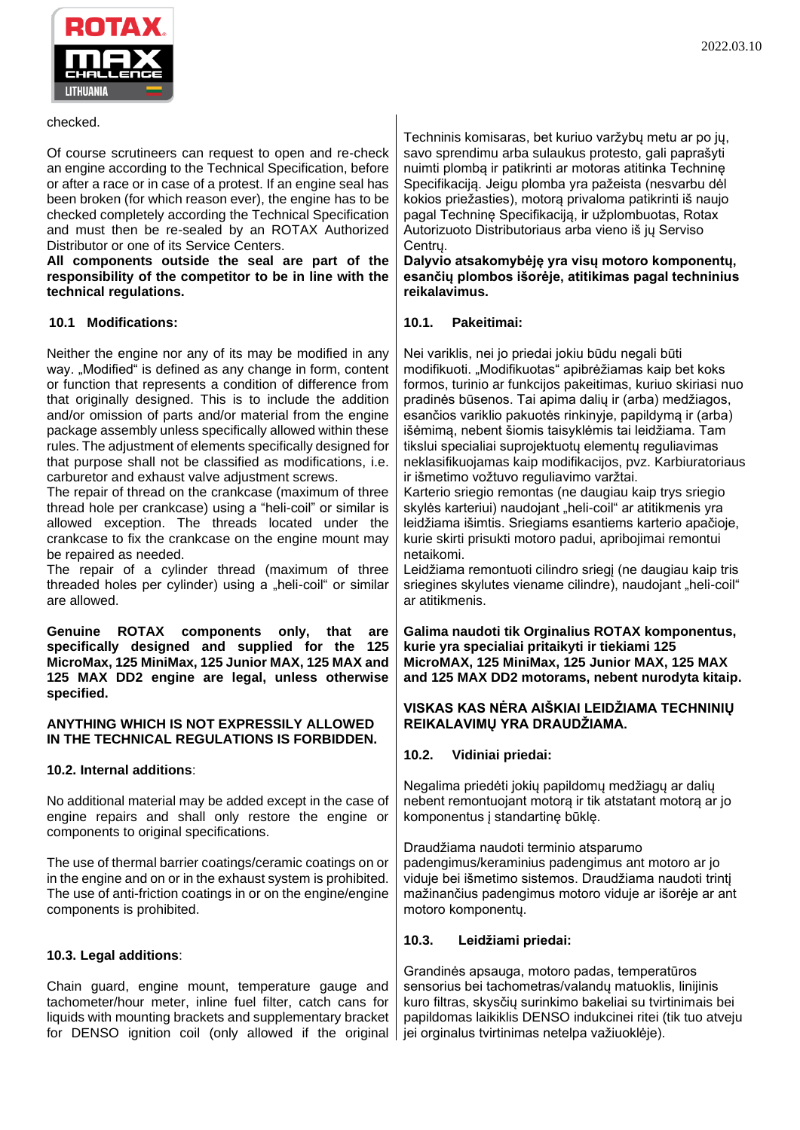

#### checked.

Of course scrutineers can request to open and re-check an engine according to the Technical Specification, before or after a race or in case of a protest. If an engine seal has been broken (for which reason ever), the engine has to be checked completely according the Technical Specification and must then be re-sealed by an ROTAX Authorized Distributor or one of its Service Centers.

**All components outside the seal are part of the responsibility of the competitor to be in line with the technical regulations.**

## **10.1 Modifications:**

Neither the engine nor any of its may be modified in any way. "Modified" is defined as any change in form, content or function that represents a condition of difference from that originally designed. This is to include the addition and/or omission of parts and/or material from the engine package assembly unless specifically allowed within these rules. The adjustment of elements specifically designed for that purpose shall not be classified as modifications, i.e. carburetor and exhaust valve adjustment screws.

The repair of thread on the crankcase (maximum of three thread hole per crankcase) using a "heli-coil" or similar is allowed exception. The threads located under the crankcase to fix the crankcase on the engine mount may be repaired as needed.

The repair of a cylinder thread (maximum of three threaded holes per cylinder) using a "heli-coil" or similar are allowed.

**Genuine ROTAX components only, that are specifically designed and supplied for the 125 MicroMax, 125 MiniMax, 125 Junior MAX, 125 MAX and 125 MAX DD2 engine are legal, unless otherwise specified.**

## **ANYTHING WHICH IS NOT EXPRESSILY ALLOWED IN THE TECHNICAL REGULATIONS IS FORBIDDEN.**

## **10.2. Internal additions**:

No additional material may be added except in the case of engine repairs and shall only restore the engine or components to original specifications.

The use of thermal barrier coatings/ceramic coatings on or in the engine and on or in the exhaust system is prohibited. The use of anti-friction coatings in or on the engine/engine components is prohibited.

## **10.3. Legal additions**:

Chain guard, engine mount, temperature gauge and tachometer/hour meter, inline fuel filter, catch cans for liquids with mounting brackets and supplementary bracket for DENSO ignition coil (only allowed if the original

Techninis komisaras, bet kuriuo varžybų metu ar po jų, savo sprendimu arba sulaukus protesto, gali paprašyti nuimti plombą ir patikrinti ar motoras atitinka Techninę Specifikaciją. Jeigu plomba yra pažeista (nesvarbu dėl kokios priežasties), motorą privaloma patikrinti iš naujo pagal Techninę Specifikaciją, ir užplombuotas, Rotax Autorizuoto Distributoriaus arba vieno iš jų Serviso Centrų.

**Dalyvio atsakomybėję yra visų motoro komponentų, esančių plombos išorėje, atitikimas pagal techninius reikalavimus.**

#### **10.1. Pakeitimai:**

Nei variklis, nei jo priedai jokiu būdu negali būti modifikuoti. "Modifikuotas" apibrėžiamas kaip bet koks formos, turinio ar funkcijos pakeitimas, kuriuo skiriasi nuo pradinės būsenos. Tai apima dalių ir (arba) medžiagos, esančios variklio pakuotės rinkinyje, papildymą ir (arba) išėmimą, nebent šiomis taisyklėmis tai leidžiama. Tam tikslui specialiai suprojektuotų elementų reguliavimas neklasifikuojamas kaip modifikacijos, pvz. Karbiuratoriaus ir išmetimo vožtuvo reguliavimo varžtai.

Karterio sriegio remontas (ne daugiau kaip trys sriegio skylės karteriui) naudojant "heli-coil" ar atitikmenis yra leidžiama išimtis. Sriegiams esantiems karterio apačioje, kurie skirti prisukti motoro padui, apribojimai remontui netaikomi.

Leidžiama remontuoti cilindro sriegį (ne daugiau kaip tris sriegines skylutes viename cilindre), naudojant "heli-coil" ar atitikmenis.

**Galima naudoti tik Orginalius ROTAX komponentus, kurie yra specialiai pritaikyti ir tiekiami 125 MicroMAX, 125 MiniMax, 125 Junior MAX, 125 MAX and 125 MAX DD2 motorams, nebent nurodyta kitaip.**

#### **VISKAS KAS NĖRA AIŠKIAI LEIDŽIAMA TECHNINIŲ REIKALAVIMŲ YRA DRAUDŽIAMA.**

## **10.2. Vidiniai priedai:**

Negalima priedėti jokių papildomų medžiagų ar dalių nebent remontuojant motorą ir tik atstatant motorą ar jo komponentus į standartinę būklę.

Draudžiama naudoti terminio atsparumo padengimus/keraminius padengimus ant motoro ar jo viduje bei išmetimo sistemos. Draudžiama naudoti trintį mažinančius padengimus motoro viduje ar išorėje ar ant motoro komponentų.

## **10.3. Leidžiami priedai:**

Grandinės apsauga, motoro padas, temperatūros sensorius bei tachometras/valandų matuoklis, linijinis kuro filtras, skysčių surinkimo bakeliai su tvirtinimais bei papildomas laikiklis DENSO indukcinei ritei (tik tuo atveju jei orginalus tvirtinimas netelpa važiuoklėje).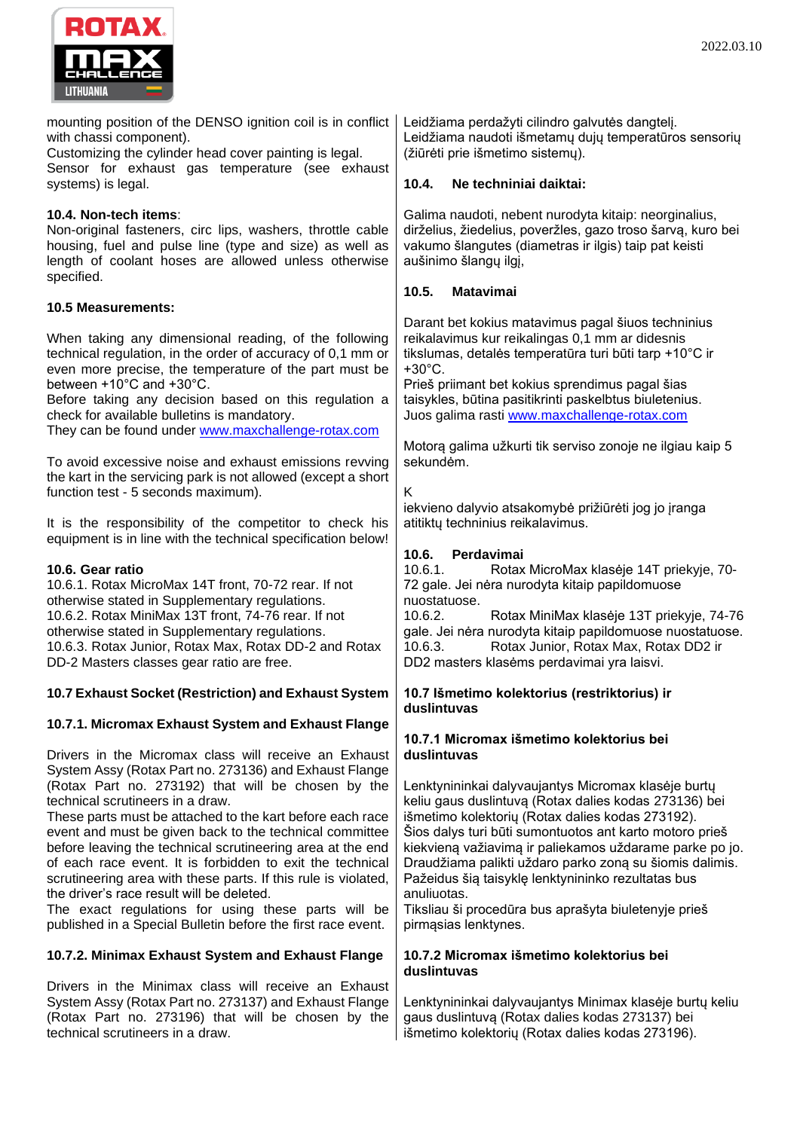



mounting position of the DENSO ignition coil is in conflict with chassi component).

Customizing the cylinder head cover painting is legal. Sensor for exhaust gas temperature (see exhaust systems) is legal.

## **10.4. Non-tech items**:

Non-original fasteners, circ lips, washers, throttle cable housing, fuel and pulse line (type and size) as well as length of coolant hoses are allowed unless otherwise specified.

## **10.5 Measurements:**

When taking any dimensional reading, of the following technical regulation, in the order of accuracy of 0,1 mm or even more precise, the temperature of the part must be between +10°C and +30°C.

Before taking any decision based on this regulation a check for available bulletins is mandatory.

They can be found under [www.maxchallenge-rotax.com](http://www.maxchallenge-rotax.com/)

To avoid excessive noise and exhaust emissions revving the kart in the servicing park is not allowed (except a short function test - 5 seconds maximum).

It is the responsibility of the competitor to check his equipment is in line with the technical specification below!

## **10.6. Gear ratio**

10.6.1. Rotax MicroMax 14T front, 70-72 rear. If not otherwise stated in Supplementary regulations. 10.6.2. Rotax MiniMax 13T front, 74-76 rear. If not otherwise stated in Supplementary regulations. 10.6.3. Rotax Junior, Rotax Max, Rotax DD-2 and Rotax DD-2 Masters classes gear ratio are free.

# **10.7 Exhaust Socket (Restriction) and Exhaust System**

## **10.7.1. Micromax Exhaust System and Exhaust Flange**

Drivers in the Micromax class will receive an Exhaust System Assy (Rotax Part no. 273136) and Exhaust Flange (Rotax Part no. 273192) that will be chosen by the technical scrutineers in a draw.

These parts must be attached to the kart before each race event and must be given back to the technical committee before leaving the technical scrutineering area at the end of each race event. It is forbidden to exit the technical scrutineering area with these parts. If this rule is violated, the driver's race result will be deleted.

The exact regulations for using these parts will be published in a Special Bulletin before the first race event.

## **10.7.2. Minimax Exhaust System and Exhaust Flange**

Drivers in the Minimax class will receive an Exhaust System Assy (Rotax Part no. 273137) and Exhaust Flange (Rotax Part no. 273196) that will be chosen by the technical scrutineers in a draw.

Leidžiama perdažyti cilindro galvutės dangtelį. Leidžiama naudoti išmetamų dujų temperatūros sensorių (žiūrėti prie išmetimo sistemų).

#### **10.4. Ne techniniai daiktai:**

Galima naudoti, nebent nurodyta kitaip: neorginalius, dirželius, žiedelius, poveržles, gazo troso šarvą, kuro bei vakumo šlangutes (diametras ir ilgis) taip pat keisti aušinimo šlangų ilgį,

## **10.5. Matavimai**

Darant bet kokius matavimus pagal šiuos techninius reikalavimus kur reikalingas 0,1 mm ar didesnis tikslumas, detalės temperatūra turi būti tarp +10°C ir +30°C.

Prieš priimant bet kokius sprendimus pagal šias taisykles, būtina pasitikrinti paskelbtus biuletenius. Juos galima rasti [www.maxchallenge-rotax.com](http://www.maxchallenge-rotax.com/)

Motorą galima užkurti tik serviso zonoje ne ilgiau kaip 5 sekundėm.

#### K

iekvieno dalyvio atsakomybė prižiūrėti jog jo įranga atitiktų techninius reikalavimus.

## **10.6. Perdavimai**

10.6.1. Rotax MicroMax klasėje 14T priekyje, 70- 72 gale. Jei nėra nurodyta kitaip papildomuose nuostatuose.

10.6.2. Rotax MiniMax klasėje 13T priekyje, 74-76 gale. Jei nėra nurodyta kitaip papildomuose nuostatuose. 10.6.3. Rotax Junior, Rotax Max, Rotax DD2 ir DD2 masters klasėms perdavimai yra laisvi.

## **10.7 Išmetimo kolektorius (restriktorius) ir duslintuvas**

#### **10.7.1 Micromax išmetimo kolektorius bei duslintuvas**

Lenktynininkai dalyvaujantys Micromax klasėje burtų keliu gaus duslintuvą (Rotax dalies kodas 273136) bei išmetimo kolektorių (Rotax dalies kodas 273192). Šios dalys turi būti sumontuotos ant karto motoro prieš kiekvieną važiavimą ir paliekamos uždarame parke po jo. Draudžiama palikti uždaro parko zoną su šiomis dalimis. Pažeidus šią taisyklę lenktynininko rezultatas bus anuliuotas.

Tiksliau ši procedūra bus aprašyta biuletenyje prieš pirmąsias lenktynes.

## **10.7.2 Micromax išmetimo kolektorius bei duslintuvas**

Lenktynininkai dalyvaujantys Minimax klasėje burtų keliu gaus duslintuvą (Rotax dalies kodas 273137) bei išmetimo kolektorių (Rotax dalies kodas 273196).